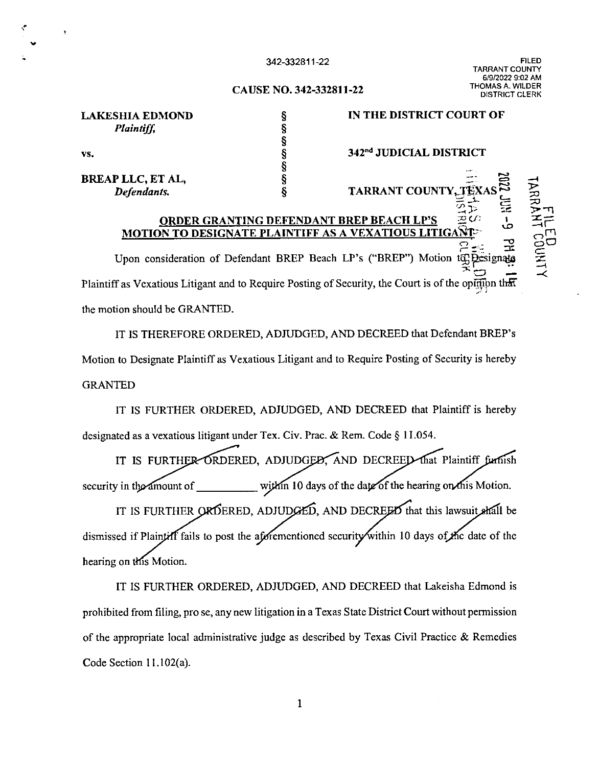## 342-332811-22

FILED TARRANT COUNTY 6/9/2022 9:02 AM THOMAS A. WILDER DISTRICT CLE

 $\mathbb{E}$  ,  $\mathbb{E}$ 

 $\Xi_{\rm{avg}}$  $\mathfrak{D}$  = 三

## **CAUSE NO. 342-332811-22**

| <b>LAKESHIA EDMOND</b>   |  |
|--------------------------|--|
| Plaintiff,               |  |
|                          |  |
| VS.                      |  |
|                          |  |
| <b>BREAP LLC, ET AL,</b> |  |
| Defendants.              |  |

...

## **IN THE DISTRICT COURT OF**

**342nd JUDICIAL DISTRICT** 

**TARRANT COUNTY** 

## **ORDER GRANTING DEFENDANT BREP BEACH LP'S MOTION TO DESIGNATE PLAINTIFF AS A VEXATIOUS LITIGA**

 $\overleftrightarrow{P}$  ,  $\overrightarrow{E}$ Upon consideration of Defendant BREP Beach LP's ("BREP") Motion to Designate Plaintiff as Vexatious Litigant and to Require Posting of Security, the Court is of the opinion that the motion should be GRANTED.

IT IS THEREFORE ORDERED, ADJUDGED, AND DECREED that Defendant BREP's Motion to Designate Plaintiff as Vexatious Litigant and to Require Posting of Security is hereby GRANTED

IT IS FURTHER ORDERED, ADJUDGED, AND DECREED that Plaintiff is hereby designated as a vexatious litigant under Tex. Civ. Prac. & Rem. Code § I 1.054.

IT IS FURTHER ORDERED, ADJUDGED, AND DECREED that Plaintiff furnish within 10 days of the date of the hearing on this Motion. security in the amount of

IT IS FURTHER ORDERED, ADJUDGED, AND DECREED that this lawsuit shall be dismissed if Plaintiff fails to post the aforementioned security within 10 days of the date of the hearing on this Motion.

IT IS FURTHER ORDERED, ADJUDGED, AND DECREED that Lakeisha Edmond is prohibited from filing, prose, any new litigation in a Texas State District Court without permission of the appropriate local administrative judge as described by Texas Civil Practice  $\&$  Remedies Code Section l l.102(a).